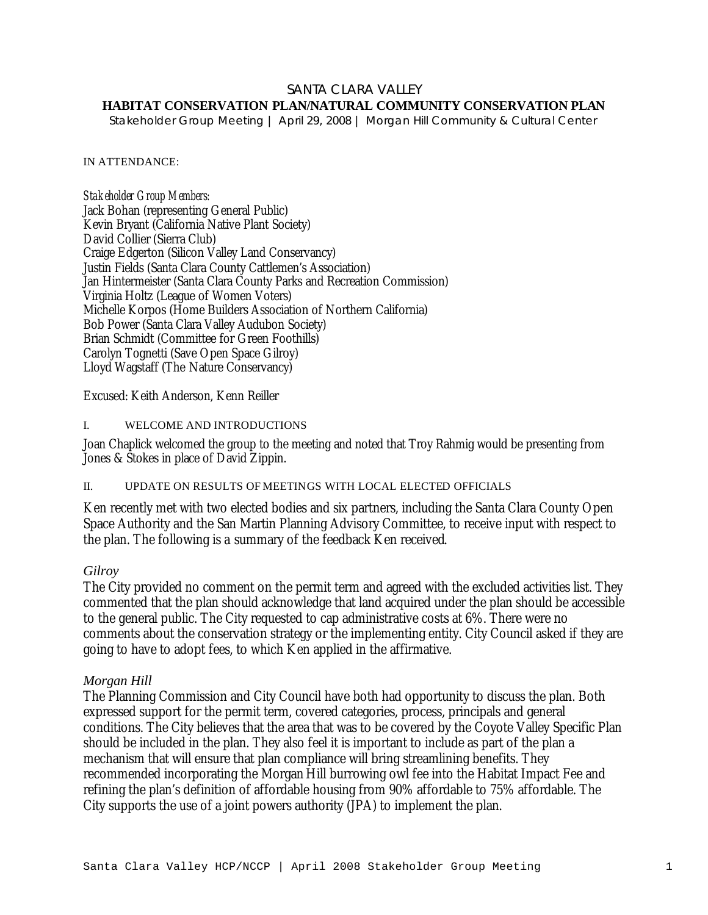## SANTA CLARA VALLEY

# **HABITAT CONSERVATION PLAN/NATURAL COMMUNITY CONSERVATION PLAN**

*Stakeholder Group Meeting | April 29, 2008 | Morgan Hill Community & Cultural Center*

#### IN ATTENDANCE:

*Stakeholder Group Members:* Jack Bohan (representing General Public) Kevin Bryant (California Native Plant Society) David Collier (Sierra Club) Craige Edgerton (Silicon Valley Land Conservancy) Justin Fields (Santa Clara County Cattlemen's Association) Jan Hintermeister (Santa Clara County Parks and Recreation Commission) Virginia Holtz (League of Women Voters) Michelle Korpos (Home Builders Association of Northern California) Bob Power (Santa Clara Valley Audubon Society) Brian Schmidt (Committee for Green Foothills) Carolyn Tognetti (Save Open Space Gilroy) Lloyd Wagstaff (The Nature Conservancy)

Excused: Keith Anderson, Kenn Reiller

## I. WELCOME AND INTRODUCTIONS

Joan Chaplick welcomed the group to the meeting and noted that Troy Rahmig would be presenting from Jones & Stokes in place of David Zippin.

## II. UPDATE ON RESULTS OF MEETINGS WITH LOCAL ELECTED OFFICIALS

Ken recently met with two elected bodies and six partners, including the Santa Clara County Open Space Authority and the San Martin Planning Advisory Committee, to receive input with respect to the plan. The following is a summary of the feedback Ken received.

# *Gilroy*

The City provided no comment on the permit term and agreed with the excluded activities list. They commented that the plan should acknowledge that land acquired under the plan should be accessible to the general public. The City requested to cap administrative costs at 6%. There were no comments about the conservation strategy or the implementing entity. City Council asked if they are going to have to adopt fees, to which Ken applied in the affirmative.

## *Morgan Hill*

The Planning Commission and City Council have both had opportunity to discuss the plan. Both expressed support for the permit term, covered categories, process, principals and general conditions. The City believes that the area that was to be covered by the Coyote Valley Specific Plan should be included in the plan. They also feel it is important to include as part of the plan a mechanism that will ensure that plan compliance will bring streamlining benefits. They recommended incorporating the Morgan Hill burrowing owl fee into the Habitat Impact Fee and refining the plan's definition of affordable housing from 90% affordable to 75% affordable. The City supports the use of a joint powers authority (JPA) to implement the plan.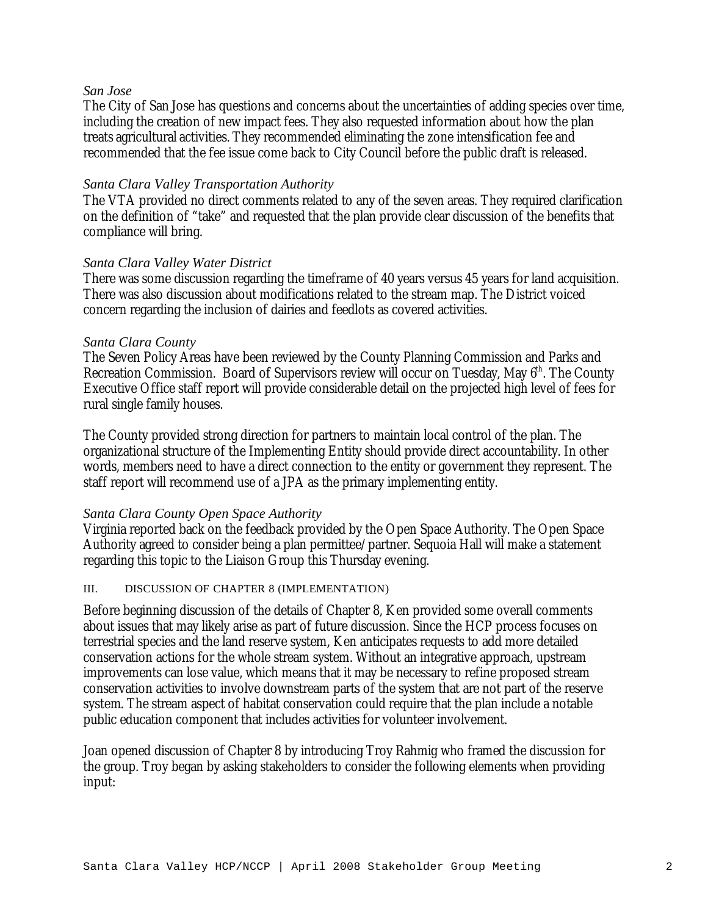#### *San Jose*

The City of San Jose has questions and concerns about the uncertainties of adding species over time, including the creation of new impact fees. They also requested information about how the plan treats agricultural activities. They recommended eliminating the zone intensification fee and recommended that the fee issue come back to City Council before the public draft is released.

## *Santa Clara Valley Transportation Authority*

The VTA provided no direct comments related to any of the seven areas. They required clarification on the definition of "take" and requested that the plan provide clear discussion of the benefits that compliance will bring.

## *Santa Clara Valley Water District*

There was some discussion regarding the timeframe of 40 years versus 45 years for land acquisition. There was also discussion about modifications related to the stream map. The District voiced concern regarding the inclusion of dairies and feedlots as covered activities.

## *Santa Clara County*

The Seven Policy Areas have been reviewed by the County Planning Commission and Parks and Recreation Commission. Board of Supervisors review will occur on Tuesday, May  $6<sup>th</sup>$ . The County Executive Office staff report will provide considerable detail on the projected high level of fees for rural single family houses.

The County provided strong direction for partners to maintain local control of the plan. The organizational structure of the Implementing Entity should provide direct accountability. In other words, members need to have a direct connection to the entity or government they represent. The staff report will recommend use of a JPA as the primary implementing entity.

## *Santa Clara County Open Space Authority*

Virginia reported back on the feedback provided by the Open Space Authority. The Open Space Authority agreed to consider being a plan permittee/partner. Sequoia Hall will make a statement regarding this topic to the Liaison Group this Thursday evening.

## III. DISCUSSION OF CHAPTER 8 (IMPLEMENTATION)

Before beginning discussion of the details of Chapter 8, Ken provided some overall comments about issues that may likely arise as part of future discussion. Since the HCP process focuses on terrestrial species and the land reserve system, Ken anticipates requests to add more detailed conservation actions for the whole stream system. Without an integrative approach, upstream improvements can lose value, which means that it may be necessary to refine proposed stream conservation activities to involve downstream parts of the system that are not part of the reserve system. The stream aspect of habitat conservation could require that the plan include a notable public education component that includes activities for volunteer involvement.

Joan opened discussion of Chapter 8 by introducing Troy Rahmig who framed the discussion for the group. Troy began by asking stakeholders to consider the following elements when providing input: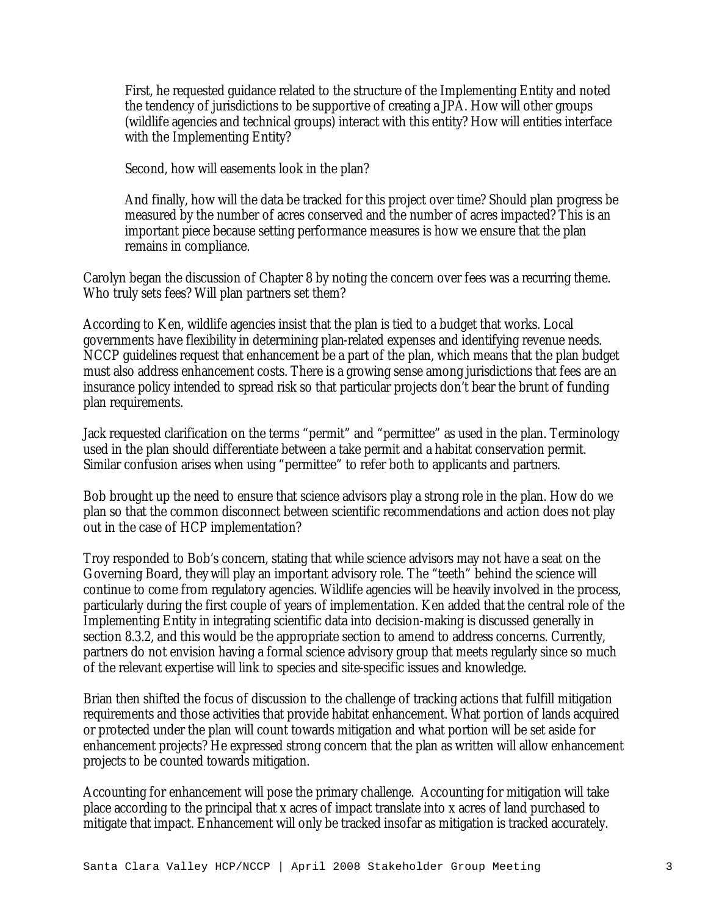First, he requested guidance related to the structure of the Implementing Entity and noted the tendency of jurisdictions to be supportive of creating a JPA. How will other groups (wildlife agencies and technical groups) interact with this entity? How will entities interface with the Implementing Entity?

Second, how will easements look in the plan?

And finally, how will the data be tracked for this project over time? Should plan progress be measured by the number of acres conserved and the number of acres impacted? This is an important piece because setting performance measures is how we ensure that the plan remains in compliance.

Carolyn began the discussion of Chapter 8 by noting the concern over fees was a recurring theme. Who truly sets fees? Will plan partners set them?

According to Ken, wildlife agencies insist that the plan is tied to a budget that works. Local governments have flexibility in determining plan-related expenses and identifying revenue needs. NCCP guidelines request that enhancement be a part of the plan, which means that the plan budget must also address enhancement costs. There is a growing sense among jurisdictions that fees are an insurance policy intended to spread risk so that particular projects don't bear the brunt of funding plan requirements.

Jack requested clarification on the terms "permit" and "permittee" as used in the plan. Terminology used in the plan should differentiate between a take permit and a habitat conservation permit. Similar confusion arises when using "permittee" to refer both to applicants and partners.

Bob brought up the need to ensure that science advisors play a strong role in the plan. How do we plan so that the common disconnect between scientific recommendations and action does not play out in the case of HCP implementation?

Troy responded to Bob's concern, stating that while science advisors may not have a seat on the Governing Board, they will play an important advisory role. The "teeth" behind the science will continue to come from regulatory agencies. Wildlife agencies will be heavily involved in the process, particularly during the first couple of years of implementation. Ken added that the central role of the Implementing Entity in integrating scientific data into decision-making is discussed generally in section 8.3.2, and this would be the appropriate section to amend to address concerns. Currently, partners do not envision having a formal science advisory group that meets regularly since so much of the relevant expertise will link to species and site-specific issues and knowledge.

Brian then shifted the focus of discussion to the challenge of tracking actions that fulfill mitigation requirements and those activities that provide habitat enhancement. What portion of lands acquired or protected under the plan will count towards mitigation and what portion will be set aside for enhancement projects? He expressed strong concern that the plan as written will allow enhancement projects to be counted towards mitigation.

Accounting for enhancement will pose the primary challenge. Accounting for mitigation will take place according to the principal that x acres of impact translate into x acres of land purchased to mitigate that impact. Enhancement will only be tracked insofar as mitigation is tracked accurately.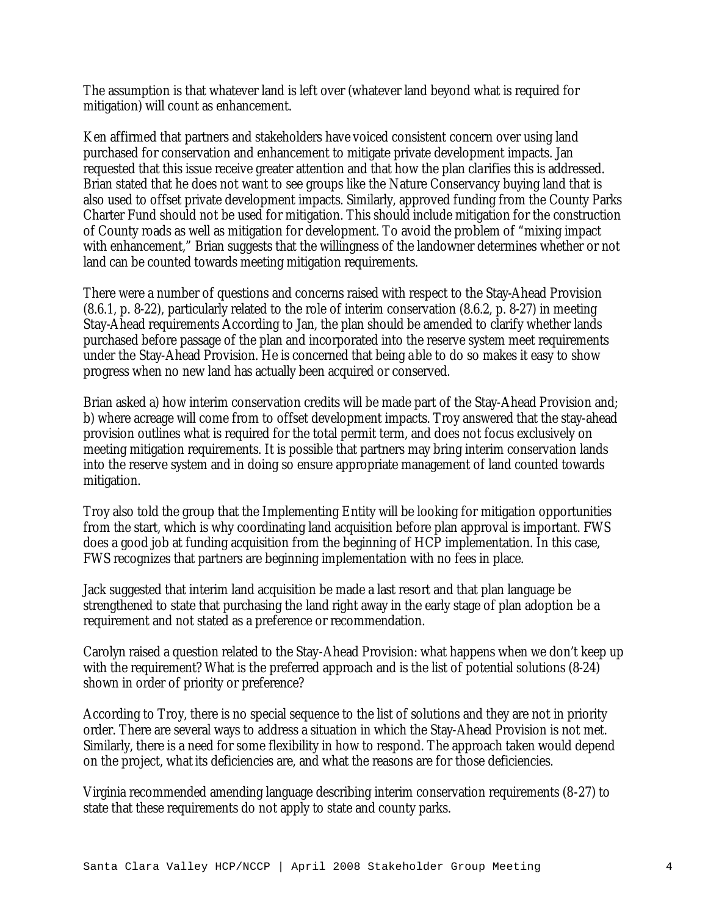The assumption is that whatever land is left over (whatever land beyond what is required for mitigation) will count as enhancement.

Ken affirmed that partners and stakeholders have voiced consistent concern over using land purchased for conservation and enhancement to mitigate private development impacts. Jan requested that this issue receive greater attention and that how the plan clarifies this is addressed. Brian stated that he does not want to see groups like the Nature Conservancy buying land that is also used to offset private development impacts. Similarly, approved funding from the County Parks Charter Fund should not be used for mitigation. This should include mitigation for the construction of County roads as well as mitigation for development. To avoid the problem of "mixing impact with enhancement," Brian suggests that the willingness of the landowner determines whether or not land can be counted towards meeting mitigation requirements.

There were a number of questions and concerns raised with respect to the Stay-Ahead Provision (8.6.1, p. 8-22), particularly related to the role of interim conservation (8.6.2, p. 8-27) in meeting Stay-Ahead requirements According to Jan, the plan should be amended to clarify whether lands purchased before passage of the plan and incorporated into the reserve system meet requirements under the Stay-Ahead Provision. He is concerned that being able to do so makes it easy to show progress when no new land has actually been acquired or conserved.

Brian asked a) how interim conservation credits will be made part of the Stay-Ahead Provision and; b) where acreage will come from to offset development impacts. Troy answered that the stay-ahead provision outlines what is required for the total permit term, and does not focus exclusively on meeting mitigation requirements. It is possible that partners may bring interim conservation lands into the reserve system and in doing so ensure appropriate management of land counted towards mitigation.

Troy also told the group that the Implementing Entity will be looking for mitigation opportunities from the start, which is why coordinating land acquisition before plan approval is important. FWS does a good job at funding acquisition from the beginning of HCP implementation. In this case, FWS recognizes that partners are beginning implementation with no fees in place.

Jack suggested that interim land acquisition be made a last resort and that plan language be strengthened to state that purchasing the land right away in the early stage of plan adoption be a requirement and not stated as a preference or recommendation.

Carolyn raised a question related to the Stay-Ahead Provision: what happens when we don't keep up with the requirement? What is the preferred approach and is the list of potential solutions (8-24) shown in order of priority or preference?

According to Troy, there is no special sequence to the list of solutions and they are not in priority order. There are several ways to address a situation in which the Stay-Ahead Provision is not met. Similarly, there is a need for some flexibility in how to respond. The approach taken would depend on the project, what its deficiencies are, and what the reasons are for those deficiencies.

Virginia recommended amending language describing interim conservation requirements (8-27) to state that these requirements do not apply to state and county parks.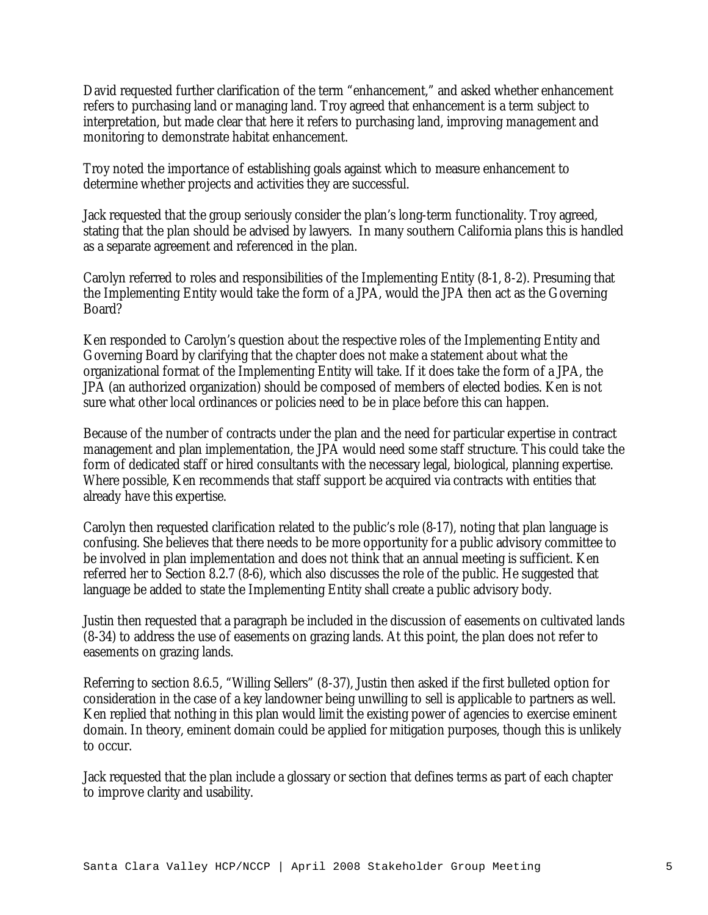David requested further clarification of the term "enhancement," and asked whether enhancement refers to purchasing land or managing land. Troy agreed that enhancement is a term subject to interpretation, but made clear that here it refers to purchasing land, improving management and monitoring to demonstrate habitat enhancement.

Troy noted the importance of establishing goals against which to measure enhancement to determine whether projects and activities they are successful.

Jack requested that the group seriously consider the plan's long-term functionality. Troy agreed, stating that the plan should be advised by lawyers. In many southern California plans this is handled as a separate agreement and referenced in the plan.

Carolyn referred to roles and responsibilities of the Implementing Entity (8-1, 8-2). Presuming that the Implementing Entity would take the form of a JPA, would the JPA then act as the Governing Board?

Ken responded to Carolyn's question about the respective roles of the Implementing Entity and Governing Board by clarifying that the chapter does not make a statement about what the organizational format of the Implementing Entity will take. If it does take the form of a JPA, the JPA (an authorized organization) should be composed of members of elected bodies. Ken is not sure what other local ordinances or policies need to be in place before this can happen.

Because of the number of contracts under the plan and the need for particular expertise in contract management and plan implementation, the JPA would need some staff structure. This could take the form of dedicated staff or hired consultants with the necessary legal, biological, planning expertise. Where possible, Ken recommends that staff support be acquired via contracts with entities that already have this expertise.

Carolyn then requested clarification related to the public's role (8-17), noting that plan language is confusing. She believes that there needs to be more opportunity for a public advisory committee to be involved in plan implementation and does not think that an annual meeting is sufficient. Ken referred her to Section 8.2.7 (8-6), which also discusses the role of the public. He suggested that language be added to state the Implementing Entity shall create a public advisory body.

Justin then requested that a paragraph be included in the discussion of easements on cultivated lands (8-34) to address the use of easements on grazing lands. At this point, the plan does not refer to easements on grazing lands.

Referring to section 8.6.5, "Willing Sellers" (8-37), Justin then asked if the first bulleted option for consideration in the case of a key landowner being unwilling to sell is applicable to partners as well. Ken replied that nothing in this plan would limit the existing power of agencies to exercise eminent domain. In theory, eminent domain could be applied for mitigation purposes, though this is unlikely to occur.

Jack requested that the plan include a glossary or section that defines terms as part of each chapter to improve clarity and usability.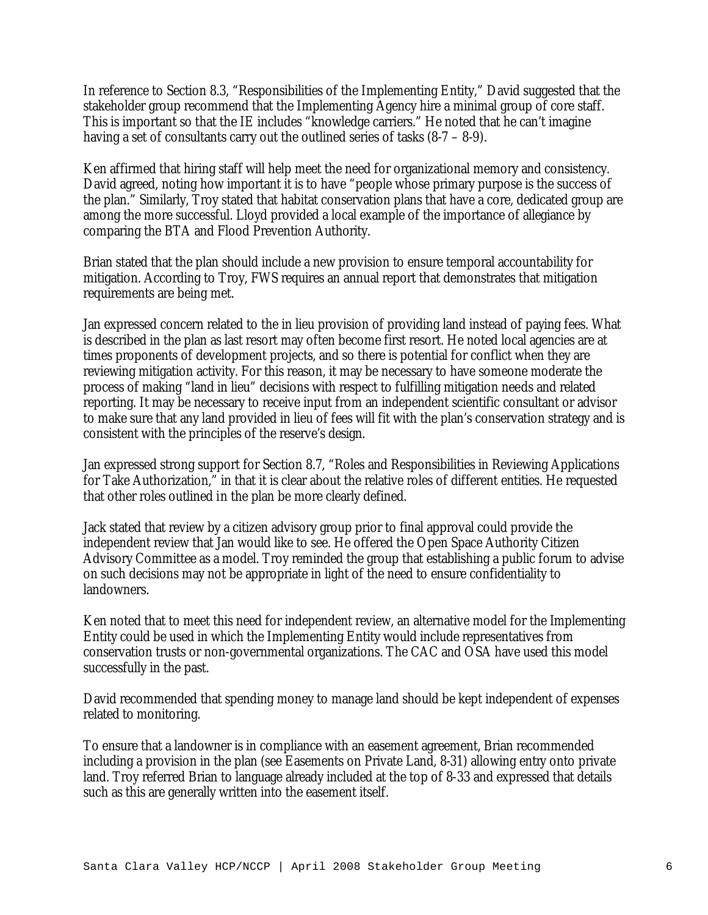In reference to Section 8.3, "Responsibilities of the Implementing Entity," David suggested that the stakeholder group recommend that the Implementing Agency hire a minimal group of core staff. This is important so that the IE includes "knowledge carriers." He noted that he can't imagine having a set of consultants carry out the outlined series of tasks (8-7 – 8-9).

Ken affirmed that hiring staff will help meet the need for organizational memory and consistency. David agreed, noting how important it is to have "people whose primary purpose is the success of the plan." Similarly, Troy stated that habitat conservation plans that have a core, dedicated group are among the more successful. Lloyd provided a local example of the importance of allegiance by comparing the BTA and Flood Prevention Authority.

Brian stated that the plan should include a new provision to ensure temporal accountability for mitigation. According to Troy, FWS requires an annual report that demonstrates that mitigation requirements are being met.

Jan expressed concern related to the in lieu provision of providing land instead of paying fees. What is described in the plan as last resort may often become first resort. He noted local agencies are at times proponents of development projects, and so there is potential for conflict when they are reviewing mitigation activity. For this reason, it may be necessary to have someone moderate the process of making "land in lieu" decisions with respect to fulfilling mitigation needs and related reporting. It may be necessary to receive input from an independent scientific consultant or advisor to make sure that any land provided in lieu of fees will fit with the plan's conservation strategy and is consistent with the principles of the reserve's design.

Jan expressed strong support for Section 8.7, "Roles and Responsibilities in Reviewing Applications for Take Authorization," in that it is clear about the relative roles of different entities. He requested that other roles outlined in the plan be more clearly defined.

Jack stated that review by a citizen advisory group prior to final approval could provide the independent review that Jan would like to see. He offered the Open Space Authority Citizen Advisory Committee as a model. Troy reminded the group that establishing a public forum to advise on such decisions may not be appropriate in light of the need to ensure confidentiality to landowners.

Ken noted that to meet this need for independent review, an alternative model for the Implementing Entity could be used in which the Implementing Entity would include representatives from conservation trusts or non-governmental organizations. The CAC and OSA have used this model successfully in the past.

David recommended that spending money to manage land should be kept independent of expenses related to monitoring.

To ensure that a landowner is in compliance with an easement agreement, Brian recommended including a provision in the plan (see Easements on Private Land, 8-31) allowing entry onto private land. Troy referred Brian to language already included at the top of 8-33 and expressed that details such as this are generally written into the easement itself.